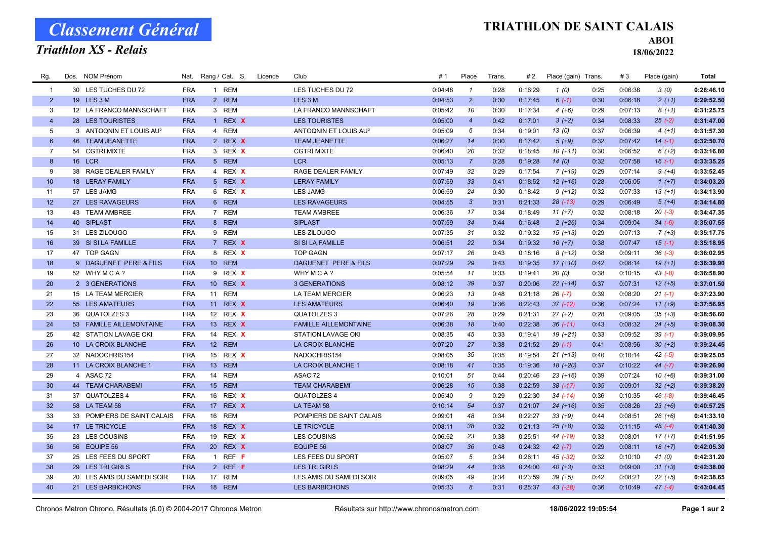# Classement Général

Triathlon XS - Relais

### TRIATHLON DE SAINT CALAIS

ABOI

18/06/2022

| Rg.            | Dos. NOM Prénom |                                     |            | Nat. Rang / Cat. S. | Licence | Club                              | # 1     | Place            | Trans. | #2      | Place (gain) Trans. |      | #3      | Place (gain) | Total      |
|----------------|-----------------|-------------------------------------|------------|---------------------|---------|-----------------------------------|---------|------------------|--------|---------|---------------------|------|---------|--------------|------------|
| $\overline{1}$ |                 | 30 LES TUCHES DU 72                 | <b>FRA</b> | 1 REM               |         | LES TUCHES DU 72                  | 0:04:48 | $\mathbf{1}$     | 0:28   | 0:16:29 | 1(0)                | 0:25 | 0:06:38 | 3(0)         | 0:28:46.10 |
| 2              | 19 LES 3 M      |                                     | <b>FRA</b> | 2 REM               |         | LES <sub>3</sub> M                | 0:04:53 | $\overline{2}$   | 0:30   | 0:17:45 | $6(-1)$             | 0:30 | 0:06:18 | $2(+1)$      | 0:29:52.50 |
| 3              |                 | 12 LA FRANCO MANNSCHAFT             | <b>FRA</b> | 3 REM               |         | LA FRANCO MANNSCHAFT              | 0:05:42 | 10               | 0:30   | 0:17:34 | $4(+6)$             | 0:29 | 0:07:13 | $8(+1)$      | 0:31:25.75 |
| $\overline{4}$ |                 | 28 LES TOURISTES                    | <b>FRA</b> | 1 REX X             |         | <b>LES TOURISTES</b>              | 0:05:00 | $\overline{4}$   | 0:42   | 0:17:01 | $3(+2)$             | 0:34 | 0:08:33 | $25(-2)$     | 0:31:47.00 |
| 5              |                 | 3 ANTOQNIN ET LOUIS AU <sup>2</sup> | <b>FRA</b> | 4 REM               |         | ANTOQNIN ET LOUIS AU <sup>2</sup> | 0:05:09 | 6                | 0:34   | 0:19:01 | 13(0)               | 0:37 | 0:06:39 | $4(+1)$      | 0:31:57.30 |
| 6              |                 | 46 TEAM JEANETTE                    | <b>FRA</b> | 2 REX X             |         | <b>TEAM JEANETTE</b>              | 0:06:27 | 14               | 0:30   | 0:17:42 | $5(+9)$             | 0:32 | 0:07:42 | $14(-1)$     | 0:32:50.70 |
| $\overline{7}$ |                 | 54 CGTRI MIXTE                      | <b>FRA</b> | 3 REX X             |         | <b>CGTRI MIXTE</b>                | 0:06:40 | 20               | 0:32   | 0:18:45 | $10(+11)$           | 0:30 | 0:06:52 | $6 (+2)$     | 0:33:16.80 |
| 8              | 16 LCR          |                                     | <b>FRA</b> | 5 REM               |         | <b>LCR</b>                        | 0:05:13 | $\overline{7}$   | 0:28   | 0:19:28 | 14(0)               | 0:32 | 0:07:58 | $16(-1)$     | 0:33:35.25 |
| 9              |                 | 38 RAGE DEALER FAMILY               | <b>FRA</b> | 4 REX X             |         | RAGE DEALER FAMILY                | 0:07:49 | 32               | 0:29   | 0:17:54 | $7(+19)$            | 0:29 | 0:07:14 | $9 (+4)$     | 0:33:52.45 |
| 10             |                 | 18 LERAY FAMILY                     | <b>FRA</b> | 5 REX X             |         | <b>LERAY FAMILY</b>               | 0:07:59 | 33               | 0:41   | 0:18:52 | $12 (+16)$          | 0:28 | 0:06:05 | $1(+7)$      | 0:34:03.20 |
| 11             |                 | 57 LES JAMG                         | <b>FRA</b> | 6 REX X             |         | <b>LES JAMG</b>                   | 0:06:59 | 24               | 0:30   | 0:18:42 | $9 (+12)$           | 0:32 | 0:07:33 | $13 (+1)$    | 0:34:13.90 |
| 12             |                 | 27 LES RAVAGEURS                    | <b>FRA</b> | 6 REM               |         | <b>LES RAVAGEURS</b>              | 0:04:55 | $\mathbf{3}$     | 0:31   | 0:21:33 | $28$ $(-13)$        | 0:29 | 0:06:49 | $5(+4)$      | 0:34:14.80 |
| 13             |                 | 43 TEAM AMBREE                      | <b>FRA</b> | 7 REM               |         | <b>TEAM AMBREE</b>                | 0:06:36 | 17               | 0:34   | 0:18:49 | $11 (+7)$           | 0:32 | 0:08:18 | $20(-3)$     | 0:34:47.35 |
| 14             | 40 SIPLAST      |                                     | <b>FRA</b> | 8 REM               |         | <b>SIPLAST</b>                    | 0:07:59 | 34               | 0:44   | 0:16:48 | $2 (+26)$           | 0:34 | 0:09:04 | $34 (-6)$    | 0:35:07.55 |
| 15             |                 | 31 LES ZILOUGO                      | <b>FRA</b> | 9 REM               |         | <b>LES ZILOUGO</b>                | 0:07:35 | 31               | 0:32   | 0:19:32 | $15 (+13)$          | 0:29 | 0:07:13 | $7 (+3)$     | 0:35:17.75 |
| 16             |                 | 39 SI SI LA FAMILLE                 | <b>FRA</b> | 7 REX X             |         | SI SI LA FAMILLE                  | 0:06:51 | 22               | 0:34   | 0:19:32 | $16(+7)$            | 0:38 | 0:07:47 | $15(-1)$     | 0:35:18.95 |
| 17             |                 | 47 TOP GAGN                         | <b>FRA</b> | 8 REX X             |         | <b>TOP GAGN</b>                   | 0:07:17 | 26               | 0:43   | 0:18:16 | $8(+12)$            | 0:38 | 0:09:11 | $36(-3)$     | 0:36:02.95 |
| 18             |                 | 9 DAGUENET PERE & FILS              | <b>FRA</b> | 10 REM              |         | DAGUENET PERE & FILS              | 0:07:29 | 29               | 0:43   | 0:19:35 | $17(+10)$           | 0:42 | 0:08:14 | $19(+1)$     | 0:36:39.90 |
| 19             |                 | 52 WHYMCA?                          | <b>FRA</b> | 9 REX X             |         | WHY MCA?                          | 0:05:54 | 11               | 0:33   | 0:19:41 | 20(0)               | 0:38 | 0:10:15 | $43(-8)$     | 0:36:58.90 |
| 20             |                 | 2 3 GENERATIONS                     | <b>FRA</b> | 10 REX X            |         | 3 GENERATIONS                     | 0:08:12 | 39               | 0:37   | 0:20:06 | $22 (+14)$          | 0:37 | 0:07:31 | $12 (+5)$    | 0:37:01.50 |
| 21             |                 | 15 LA TEAM MERCIER                  | <b>FRA</b> | <b>REM</b><br>11    |         | <b>LA TEAM MERCIER</b>            | 0:06:23 | 13               | 0:48   | 0:21:18 | $26$ $(-7)$         | 0:39 | 0:08:20 | $21(-1)$     | 0:37:23.90 |
| 22             |                 | 55 LES AMATEURS                     | <b>FRA</b> | 11 REX X            |         | <b>LES AMATEURS</b>               | 0:06:40 | 19               | 0:36   | 0:22:43 | $37(-12)$           | 0:36 | 0:07:24 | $11 (+9)$    | 0:37:56.95 |
| 23             |                 | 36 QUATOLZES 3                      | <b>FRA</b> | 12 REX X            |         | QUATOLZES 3                       | 0:07:26 | 28               | 0:29   | 0:21:31 | $27 (+2)$           | 0:28 | 0:09:05 | $35 (+3)$    | 0:38:56.60 |
| 24             |                 | 53 FAMILLE AILLEMONTAINE            | <b>FRA</b> | 13 REX X            |         | <b>FAMILLE AILLEMONTAINE</b>      | 0:06:38 | 18               | 0:40   | 0:22:38 | $36(-11)$           | 0:43 | 0:08:32 | $24 (+5)$    | 0:39:08.30 |
| 25             |                 | 42 STATION LAVAGE OKI               | <b>FRA</b> | 14 REX X            |         | <b>STATION LAVAGE OKI</b>         | 0:08:35 | 45               | 0:33   | 0:19:41 | 19 (+21)            | 0:33 | 0:09:52 | $39(-1)$     | 0:39:09.95 |
| 26             |                 | 10 LA CROIX BLANCHE                 | <b>FRA</b> | 12 REM              |         | LA CROIX BLANCHE                  | 0:07:20 | 27               | 0:38   | 0:21:52 | $29(-1)$            | 0:41 | 0:08:56 | $30 (+2)$    | 0:39:24.45 |
| 27             |                 | 32 NADOCHRIS154                     | <b>FRA</b> | 15 REX X            |         | NADOCHRIS154                      | 0:08:05 | 35               | 0:35   | 0:19:54 | $21 (+13)$          | 0:40 | 0:10:14 | $42(-5)$     | 0:39:25.05 |
| 28             |                 | 11 LA CROIX BLANCHE 1               | <b>FRA</b> | 13<br><b>REM</b>    |         | LA CROIX BLANCHE 1                | 0:08:18 | 41               | 0:35   | 0:19:36 | $18(+20)$           | 0:37 | 0:10:22 | 44 $(-7)$    | 0:39:26.90 |
| 29             | 4 ASAC 72       |                                     | <b>FRA</b> | 14<br><b>REM</b>    |         | ASAC <sub>72</sub>                | 0:10:01 | 51               | 0:44   | 0:20:46 | $23 (+16)$          | 0:39 | 0:07:24 | $10(+6)$     | 0:39:31.00 |
| 30             |                 | <b>44 TEAM CHARABEMI</b>            | <b>FRA</b> | 15 REM              |         | <b>TEAM CHARABEMI</b>             | 0:06:28 | 15               | 0:38   | 0:22:59 | $38(-17)$           | 0:35 | 0:09:01 | $32 (+2)$    | 0:39:38.20 |
| 31             |                 | 37 QUATOLZES 4                      | <b>FRA</b> | 16 REX X            |         | <b>QUATOLZES 4</b>                | 0:05:40 | 9                | 0:29   | 0:22:30 | $34$ (-14)          | 0:36 | 0:10:35 | $46(-8)$     | 0:39:46.45 |
| 32             |                 | 58 LA TEAM 58                       | <b>FRA</b> | 17 REX X            |         | LA TEAM 58                        | 0:10:14 | 54               | 0:37   | 0:21:07 | $24 (+16)$          | 0:35 | 0:08:26 | $23 (+6)$    | 0:40:57.25 |
| 33             |                 | 33 POMPIERS DE SAINT CALAIS         | <b>FRA</b> | 16<br><b>REM</b>    |         | POMPIERS DE SAINT CALAIS          | 0:09:01 | 48               | 0:34   | 0:22:27 | $33 (+9)$           | 0:44 | 0:08:51 | $26 (+6)$    | 0:41:33.10 |
| 34             |                 | 17 LE TRICYCLE                      | <b>FRA</b> | 18 REX X            |         | LE TRICYCLE                       | 0:08:11 | 38               | 0:32   | 0:21:13 | $25 (+8)$           | 0:32 | 0:11:15 | $48(-4)$     | 0:41:40.30 |
| 35             |                 | 23 LES COUSINS                      | <b>FRA</b> | 19 REX X            |         | <b>LES COUSINS</b>                | 0:06:52 | 23               | 0:38   | 0:25:51 | 44 (-19)            | 0:33 | 0:08:01 | $17 (+7)$    | 0:41:51.95 |
| 36             |                 | 56 EQUIPE 56                        | <b>FRA</b> | 20 REX X            |         | <b>EQUIPE 56</b>                  | 0:08:07 | 36               | 0:48   | 0:24:32 | $42 (-7)$           | 0:29 | 0:08:11 | $18 (+7)$    | 0:42:05.30 |
| 37             |                 | 25 LES FEES DU SPORT                | <b>FRA</b> | 1 REF $F$           |         | LES FEES DU SPORT                 | 0:05:07 | 5                | 0:34   | 0:26:11 | 45 (-32)            | 0:32 | 0:10:10 | 41(0)        | 0:42:31.20 |
| 38             |                 | 29 LES TRI GIRLS                    | <b>FRA</b> | 2 REF F             |         | <b>LES TRI GIRLS</b>              | 0:08:29 | 44               | 0:38   | 0:24:00 | $40 (+3)$           | 0:33 | 0:09:00 | $31 (+3)$    | 0:42:38.00 |
| 39             |                 | 20 LES AMIS DU SAMEDI SOIR          | <b>FRA</b> | 17 REM              |         | LES AMIS DU SAMEDI SOIR           | 0:09:05 | 49               | 0:34   | 0:23:59 | $39 (+5)$           | 0:42 | 0:08:21 | $22 (+5)$    | 0:42:38.65 |
| 40             |                 | 21 LES BARBICHONS                   | <b>FRA</b> | 18 REM              |         | <b>LES BARBICHONS</b>             | 0:05:33 | $\boldsymbol{8}$ | 0:31   | 0:25:37 | $43$ (-28)          | 0:36 | 0:10:49 | $47(-4)$     | 0:43:04.45 |
|                |                 |                                     |            |                     |         |                                   |         |                  |        |         |                     |      |         |              |            |

Chronos Metron Chrono. Résultats (6.0) © 2004-2017 Chronos Metron Résultats sur http://www.chronosmetron.com 18/06/2022 19:05:54 Page 1 sur 2